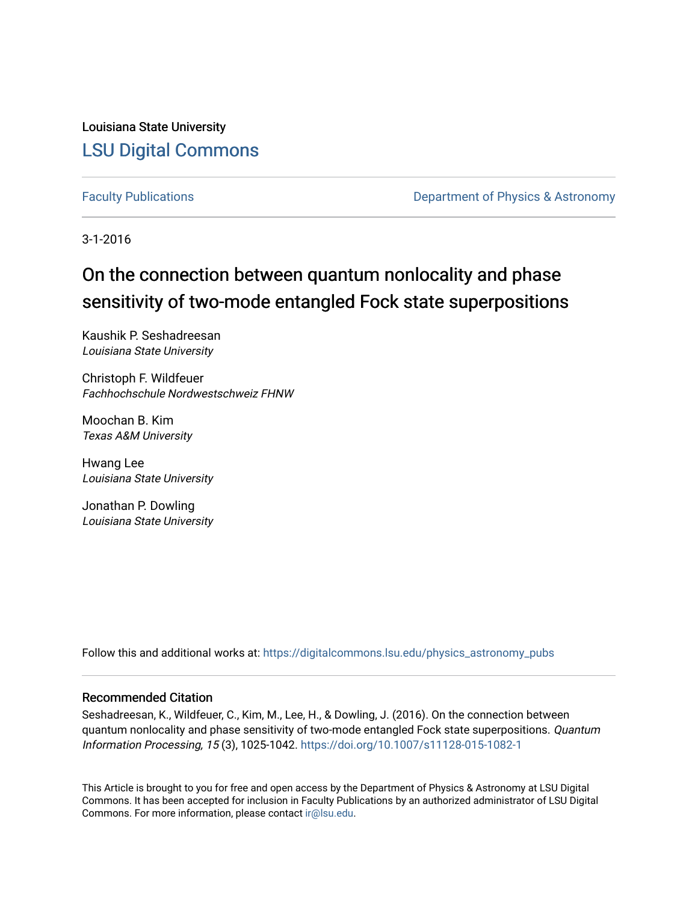Louisiana State University [LSU Digital Commons](https://digitalcommons.lsu.edu/)

[Faculty Publications](https://digitalcommons.lsu.edu/physics_astronomy_pubs) **Exercise 2 and Table 2 and Table 2 and Table 2 and Table 2 and Table 2 and Table 2 and Table 2 and Table 2 and Table 2 and Table 2 and Table 2 and Table 2 and Table 2 and Table 2 and Table 2 and Table** 

3-1-2016

# On the connection between quantum nonlocality and phase sensitivity of two-mode entangled Fock state superpositions

Kaushik P. Seshadreesan Louisiana State University

Christoph F. Wildfeuer Fachhochschule Nordwestschweiz FHNW

Moochan B. Kim Texas A&M University

Hwang Lee Louisiana State University

Jonathan P. Dowling Louisiana State University

Follow this and additional works at: [https://digitalcommons.lsu.edu/physics\\_astronomy\\_pubs](https://digitalcommons.lsu.edu/physics_astronomy_pubs?utm_source=digitalcommons.lsu.edu%2Fphysics_astronomy_pubs%2F3110&utm_medium=PDF&utm_campaign=PDFCoverPages) 

# Recommended Citation

Seshadreesan, K., Wildfeuer, C., Kim, M., Lee, H., & Dowling, J. (2016). On the connection between quantum nonlocality and phase sensitivity of two-mode entangled Fock state superpositions. Quantum Information Processing, 15 (3), 1025-1042. <https://doi.org/10.1007/s11128-015-1082-1>

This Article is brought to you for free and open access by the Department of Physics & Astronomy at LSU Digital Commons. It has been accepted for inclusion in Faculty Publications by an authorized administrator of LSU Digital Commons. For more information, please contact [ir@lsu.edu](mailto:ir@lsu.edu).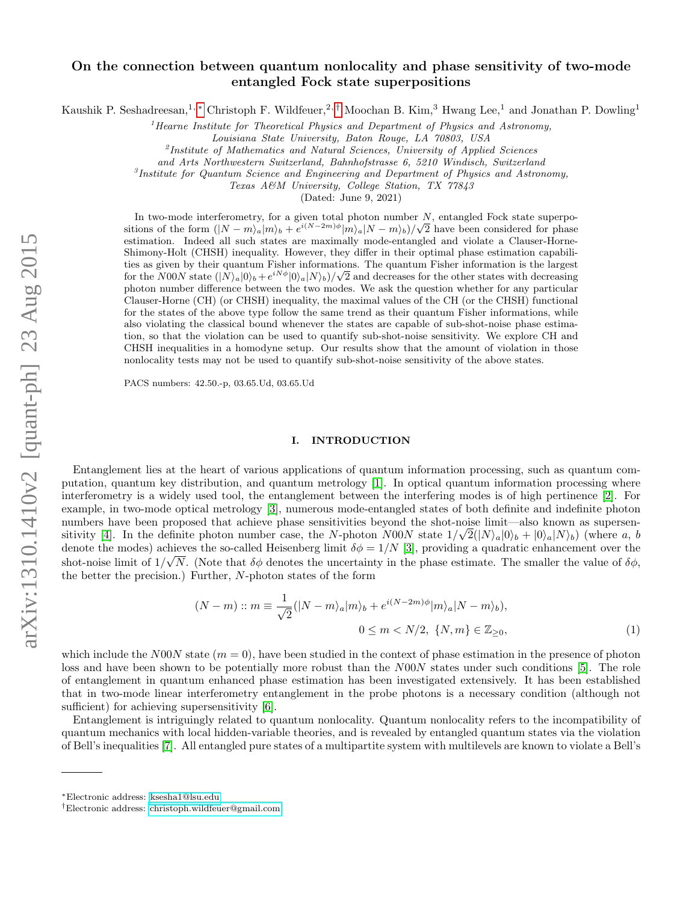# On the connection between quantum nonlocality and phase sensitivity of two-mode entangled Fock state superpositions

Kaushik P. Seshadreesan,<sup>1, \*</sup> Christoph F. Wildfeuer,<sup>2,[†](#page-1-1)</sup> Moochan B. Kim,<sup>3</sup> Hwang Lee,<sup>1</sup> and Jonathan P. Dowling<sup>1</sup>

 ${}^{1}$ Hearne Institute for Theoretical Physics and Department of Physics and Astronomy,

Louisiana State University, Baton Rouge, LA 70803, USA

<sup>2</sup>Institute of Mathematics and Natural Sciences, University of Applied Sciences

and Arts Northwestern Switzerland, Bahnhofstrasse 6, 5210 Windisch, Switzerland

<sup>3</sup>Institute for Quantum Science and Engineering and Department of Physics and Astronomy,

Texas A&M University, College Station, TX 77843

(Dated: June 9, 2021)

In two-mode interferometry, for a given total photon number  $N$ , entangled Fock state superpo-In two-mode interferometry, for a given total photon number N, entangled Fock state superpositions of the form  $(|N - m\rangle_a|m_b + e^{i(N-2m)\phi}|m\rangle_a|N - m\rangle_b)/\sqrt{2}$  have been considered for phase estimation. Indeed all such states are maximally mode-entangled and violate a Clauser-Horne-Shimony-Holt (CHSH) inequality. However, they differ in their optimal phase estimation capabilities as given by their quantum Fisher informations. The quantum Fisher information is the largest ties as given by their quantum Fisher informations. The quantum Fisher information is the largest<br>for the N00N state  $(|N\rangle_a|0\rangle_b + e^{iN\phi}|0\rangle_a|N\rangle_b)/\sqrt{2}$  and decreases for the other states with decreasing photon number difference between the two modes. We ask the question whether for any particular Clauser-Horne (CH) (or CHSH) inequality, the maximal values of the CH (or the CHSH) functional for the states of the above type follow the same trend as their quantum Fisher informations, while also violating the classical bound whenever the states are capable of sub-shot-noise phase estimation, so that the violation can be used to quantify sub-shot-noise sensitivity. We explore CH and CHSH inequalities in a homodyne setup. Our results show that the amount of violation in those nonlocality tests may not be used to quantify sub-shot-noise sensitivity of the above states.

PACS numbers: 42.50.-p, 03.65.Ud, 03.65.Ud

#### <span id="page-1-2"></span>I. INTRODUCTION

Entanglement lies at the heart of various applications of quantum information processing, such as quantum computation, quantum key distribution, and quantum metrology [\[1\]](#page-12-0). In optical quantum information processing where interferometry is a widely used tool, the entanglement between the interfering modes is of high pertinence [\[2\]](#page-12-1). For example, in two-mode optical metrology [\[3\]](#page-12-2), numerous mode-entangled states of both definite and indefinite photon numbers have been proposed that achieve phase sensitivities beyond the shot-noise limit—also known as supersen-sitivity [\[4\]](#page-12-3). In the definite photon number case, the N-photon N00N state  $1/\sqrt{2}(|N\rangle_a|0\rangle_b + |0\rangle_a|N\rangle_b)$  (where a, b denote the modes) achieves the so-called Heisenberg limit  $\delta \phi = 1/N$  [\[3\]](#page-12-4), providing a quadratic enhancement over the shot-noise limit of  $1/\sqrt{N}$ . (Note that  $\delta\phi$  denotes the uncertainty in the phase estimate. The smaller the value of  $\delta\phi$ , the better the precision.) Further, N-photon states of the form

$$
(N-m) :: m \equiv \frac{1}{\sqrt{2}}(|N-m\rangle_a|m\rangle_b + e^{i(N-2m)\phi}|m\rangle_a|N-m\rangle_b),
$$
  

$$
0 \le m < N/2, \ \{N, m\} \in \mathbb{Z}_{\ge 0},
$$
 (1)

which include the N00N state  $(m = 0)$ , have been studied in the context of phase estimation in the presence of photon loss and have been shown to be potentially more robust than the N00N states under such conditions [\[5\]](#page-12-5). The role of entanglement in quantum enhanced phase estimation has been investigated extensively. It has been established that in two-mode linear interferometry entanglement in the probe photons is a necessary condition (although not sufficient) for achieving supersensitivity [\[6\]](#page-13-0).

Entanglement is intriguingly related to quantum nonlocality. Quantum nonlocality refers to the incompatibility of quantum mechanics with local hidden-variable theories, and is revealed by entangled quantum states via the violation of Bell's inequalities [\[7\]](#page-13-1). All entangled pure states of a multipartite system with multilevels are known to violate a Bell's

<span id="page-1-0"></span><sup>∗</sup>Electronic address: [ksesha1@lsu.edu](mailto:ksesha1@lsu.edu)

<span id="page-1-1"></span><sup>†</sup>Electronic address: [christoph.wildfeuer@gmail.com](mailto:christoph.wildfeuer@gmail.com)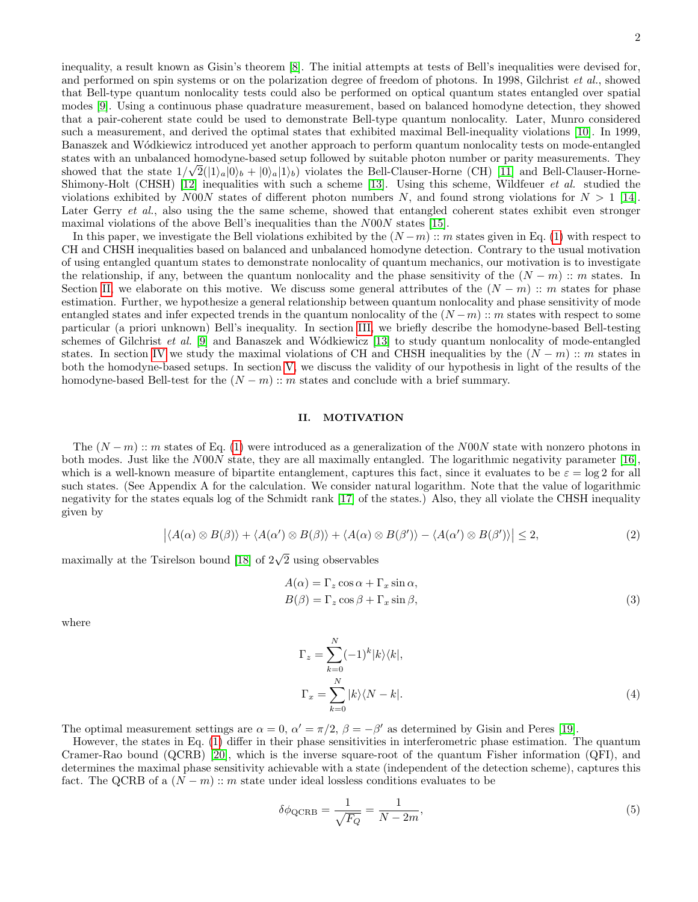inequality, a result known as Gisin's theorem [\[8\]](#page-13-2). The initial attempts at tests of Bell's inequalities were devised for, and performed on spin systems or on the polarization degree of freedom of photons. In 1998, Gilchrist et al., showed that Bell-type quantum nonlocality tests could also be performed on optical quantum states entangled over spatial modes [\[9\]](#page-13-3). Using a continuous phase quadrature measurement, based on balanced homodyne detection, they showed that a pair-coherent state could be used to demonstrate Bell-type quantum nonlocality. Later, Munro considered such a measurement, and derived the optimal states that exhibited maximal Bell-inequality violations [\[10\]](#page-13-4). In 1999, Banaszek and W´odkiewicz introduced yet another approach to perform quantum nonlocality tests on mode-entangled states with an unbalanced homodyne-based setup followed by suitable photon number or parity measurements. They showed that the state  $1/\sqrt{2}(|1\rangle_a|0\rangle_b + |0\rangle_a|1\rangle_b)$  violates the Bell-Clauser-Horne (CH) [\[11\]](#page-13-5) and Bell-Clauser-Horne-Shimony-Holt (CHSH) [\[12\]](#page-13-6) inequalities with such a scheme [\[13\]](#page-13-7). Using this scheme, Wildfeuer et al. studied the violations exhibited by N00N states of different photon numbers N, and found strong violations for  $N > 1$  [\[14\]](#page-13-8). Later Gerry *et al.*, also using the the same scheme, showed that entangled coherent states exhibit even stronger maximal violations of the above Bell's inequalities than the N00N states [\[15\]](#page-13-9).

In this paper, we investigate the Bell violations exhibited by the  $(N-m)$  :: m states given in Eq. [\(1\)](#page-1-2) with respect to CH and CHSH inequalities based on balanced and unbalanced homodyne detection. Contrary to the usual motivation of using entangled quantum states to demonstrate nonlocality of quantum mechanics, our motivation is to investigate the relationship, if any, between the quantum nonlocality and the phase sensitivity of the  $(N - m)$  :: m states. In Section [II,](#page-2-0) we elaborate on this motive. We discuss some general attributes of the  $(N - m)$  :: m states for phase estimation. Further, we hypothesize a general relationship between quantum nonlocality and phase sensitivity of mode entangled states and infer expected trends in the quantum nonlocality of the  $(N-m)$  :: m states with respect to some particular (a priori unknown) Bell's inequality. In section [III,](#page-4-0) we briefly describe the homodyne-based Bell-testing schemes of Gilchrist *et al.* [\[9\]](#page-13-3) and Banaszek and Wódkiewicz [\[13\]](#page-13-7) to study quantum nonlocality of mode-entangled states. In section [IV](#page-7-0) we study the maximal violations of CH and CHSH inequalities by the  $(N - m)$  :: m states in both the homodyne-based setups. In section [V,](#page-10-0) we discuss the validity of our hypothesis in light of the results of the homodyne-based Bell-test for the  $(N - m)$  :: m states and conclude with a brief summary.

#### <span id="page-2-0"></span>II. MOTIVATION

The  $(N-m)$ : m states of Eq. [\(1\)](#page-1-2) were introduced as a generalization of the N00N state with nonzero photons in both modes. Just like the N00N state, they are all maximally entangled. The logarithmic negativity parameter [\[16\]](#page-13-10), which is a well-known measure of bipartite entanglement, captures this fact, since it evaluates to be  $\varepsilon = \log 2$  for all such states. (See Appendix A for the calculation. We consider natural logarithm. Note that the value of logarithmic negativity for the states equals log of the Schmidt rank [\[17\]](#page-13-11) of the states.) Also, they all violate the CHSH inequality given by

$$
|\langle A(\alpha) \otimes B(\beta) \rangle + \langle A(\alpha') \otimes B(\beta) \rangle + \langle A(\alpha) \otimes B(\beta') \rangle - \langle A(\alpha') \otimes B(\beta') \rangle | \leq 2,
$$
 (2)

maximally at the Tsirelson bound [\[18\]](#page-13-12) of  $2\sqrt{2}$  using observables

$$
A(\alpha) = \Gamma_z \cos \alpha + \Gamma_x \sin \alpha,
$$
  
\n
$$
B(\beta) = \Gamma_z \cos \beta + \Gamma_x \sin \beta,
$$
\n(3)

where

$$
\Gamma_z = \sum_{k=0}^{N} (-1)^k |k\rangle\langle k|,
$$
  
\n
$$
\Gamma_x = \sum_{k=0}^{N} |k\rangle\langle N - k|.
$$
\n(4)

The optimal measurement settings are  $\alpha = 0$ ,  $\alpha' = \pi/2$ ,  $\beta = -\beta'$  as determined by Gisin and Peres [\[19\]](#page-13-13).

However, the states in Eq. [\(1\)](#page-1-2) differ in their phase sensitivities in interferometric phase estimation. The quantum Cramer-Rao bound (QCRB) [\[20\]](#page-13-14), which is the inverse square-root of the quantum Fisher information (QFI), and determines the maximal phase sensitivity achievable with a state (independent of the detection scheme), captures this fact. The QCRB of a  $(N-m)$ :: m state under ideal lossless conditions evaluates to be

<span id="page-2-1"></span>
$$
\delta\phi_{\text{QCRB}} = \frac{1}{\sqrt{F_Q}} = \frac{1}{N - 2m},\tag{5}
$$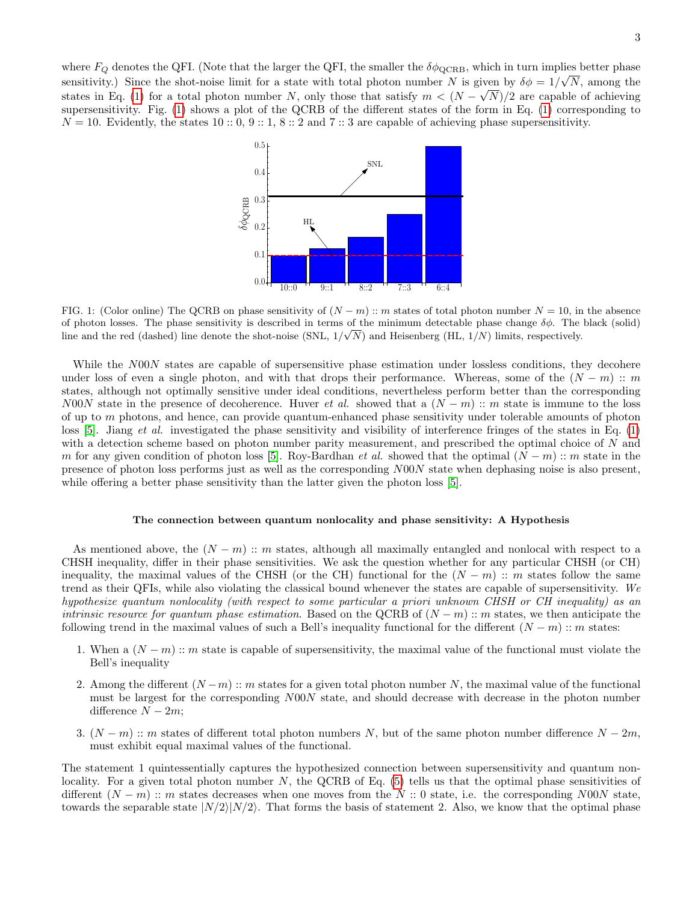where  $F_Q$  denotes the QFI. (Note that the larger the QFI, the smaller the  $\delta\phi_{\text{QCRB}}$ , which in turn implies better phase sensitivity.) Since the shot-noise limit for a state with total photon number N is given by  $\delta \phi = 1/\sqrt{N}$ , among the states in Eq. [\(1\)](#page-1-2) for a total photon number N, only those that satisfy  $m < (N - \sqrt{N})/2$  are capable of achieving supersensitivity. Fig. [\(1\)](#page-3-0) shows a plot of the QCRB of the different states of the form in Eq. [\(1\)](#page-1-2) corresponding to  $N = 10$ . Evidently, the states 10 :: 0, 9 :: 1, 8 :: 2 and 7 :: 3 are capable of achieving phase supersensitivity.



<span id="page-3-0"></span>FIG. 1: (Color online) The QCRB on phase sensitivity of  $(N - m)$  :: m states of total photon number  $N = 10$ , in the absence of photon losses. The phase sensitivity is described in terms of the minimum detectable phase change  $\delta\phi$ . The black (solid) line and the red (dashed) line denote the shot-noise (SNL,  $1/\sqrt{N}$ ) and Heisenberg (HL,  $1/N$ ) limits, respectively.

While the N00N states are capable of supersensitive phase estimation under lossless conditions, they decohere under loss of even a single photon, and with that drops their performance. Whereas, some of the  $(N - m)$  :: m states, although not optimally sensitive under ideal conditions, nevertheless perform better than the corresponding N00N state in the presence of decoherence. Huver et al. showed that a  $(N - m)$  :: m state is immune to the loss of up to  $m$  photons, and hence, can provide quantum-enhanced phase sensitivity under tolerable amounts of photon loss  $[5]$ . Jiang *et al.* investigated the phase sensitivity and visibility of interference fringes of the states in Eq. [\(1\)](#page-1-2) with a detection scheme based on photon number parity measurement, and prescribed the optimal choice of N and m for any given condition of photon loss [\[5\]](#page-12-7). Roy-Bardhan *et al.* showed that the optimal  $(N - m)$  :: m state in the presence of photon loss performs just as well as the corresponding N00N state when dephasing noise is also present, while offering a better phase sensitivity than the latter given the photon loss [\[5\]](#page-12-5).

## <span id="page-3-1"></span>The connection between quantum nonlocality and phase sensitivity: A Hypothesis

As mentioned above, the  $(N - m)$  :: m states, although all maximally entangled and nonlocal with respect to a CHSH inequality, differ in their phase sensitivities. We ask the question whether for any particular CHSH (or CH) inequality, the maximal values of the CHSH (or the CH) functional for the  $(N - m)$  :: m states follow the same trend as their QFIs, while also violating the classical bound whenever the states are capable of supersensitivity. We hypothesize quantum nonlocality (with respect to some particular a priori unknown CHSH or CH inequality) as an intrinsic resource for quantum phase estimation. Based on the QCRB of  $(N - m)$  :: m states, we then anticipate the following trend in the maximal values of such a Bell's inequality functional for the different  $(N - m)$  :: m states:

- 1. When a  $(N-m)$  :: m state is capable of supersensitivity, the maximal value of the functional must violate the Bell's inequality
- 2. Among the different  $(N-m)$ : m states for a given total photon number N, the maximal value of the functional must be largest for the corresponding N00N state, and should decrease with decrease in the photon number difference  $N - 2m$ ;
- 3.  $(N-m)$ :: m states of different total photon numbers N, but of the same photon number difference  $N-2m$ , must exhibit equal maximal values of the functional.

The statement 1 quintessentially captures the hypothesized connection between supersensitivity and quantum nonlocality. For a given total photon number  $N$ , the QCRB of Eq. [\(5\)](#page-2-1) tells us that the optimal phase sensitivities of different  $(N-m)$ : m states decreases when one moves from the N :: 0 state, i.e. the corresponding N00N state, towards the separable state  $|N/2\rangle|N/2\rangle$ . That forms the basis of statement 2. Also, we know that the optimal phase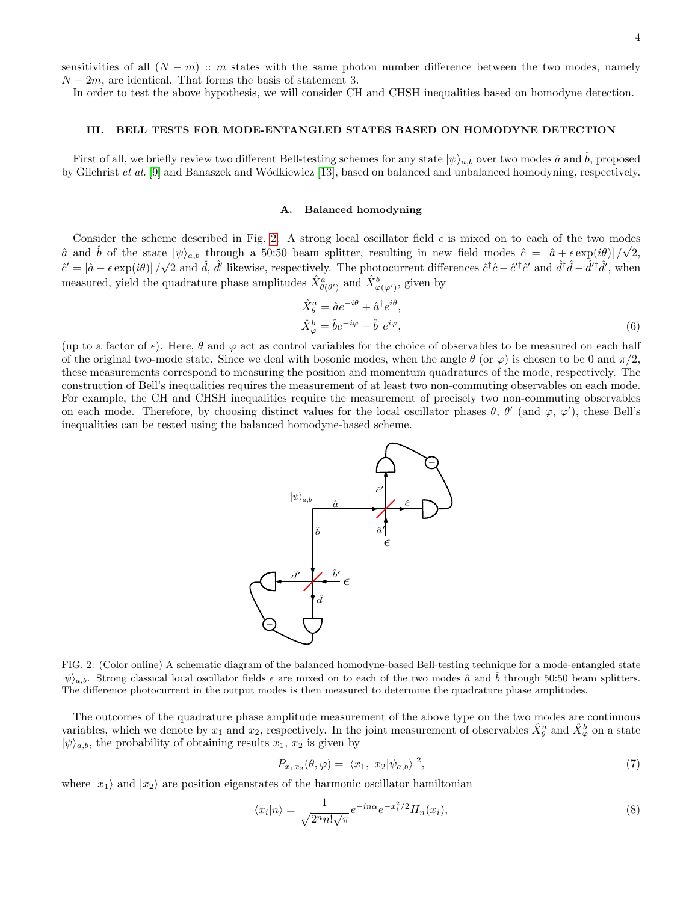sensitivities of all  $(N - m)$  :: m states with the same photon number difference between the two modes, namely  $N-2m$ , are identical. That forms the basis of statement 3.

In order to test the above hypothesis, we will consider CH and CHSH inequalities based on homodyne detection.

# <span id="page-4-0"></span>III. BELL TESTS FOR MODE-ENTANGLED STATES BASED ON HOMODYNE DETECTION

First of all, we briefly review two different Bell-testing schemes for any state  $|\psi\rangle_{a,b}$  over two modes  $\hat{a}$  and  $\hat{b}$ , proposed by Gilchrist et al. [\[9\]](#page-13-3) and Banaszek and W´odkiewicz [\[13\]](#page-13-7), based on balanced and unbalanced homodyning, respectively.

#### A. Balanced homodyning

Consider the scheme described in Fig. [2.](#page-4-1) A strong local oscillator field  $\epsilon$  is mixed on to each of the two modes â and  $\hat{b}$  of the state  $|\psi\rangle_{a,b}$  through a 50:50 beam splitter, resulting in new field modes  $\hat{c} = [\hat{a} + \epsilon \exp(i\theta)]/\sqrt{2}$ ,  $\hat{c}' = [\hat{a} - \epsilon \exp(i\theta)] / \sqrt{2}$  and  $\hat{d}$ ,  $\hat{d}'$  likewise, respectively. The photocurrent differences  $\hat{c}^{\dagger} \hat{c} - \hat{c}'^{\dagger} \hat{c}'$  and  $\hat{d}^{\dagger} \hat{d} - \hat{d}'^{\dagger} \hat{d}'$ , when measured, yield the quadrature phase amplitudes  $\hat{X}_{\theta(\theta')}^a$  and  $\hat{X}_{\varphi(\varphi')}^b$ , given by

$$
\hat{X}_{\theta}^{a} = \hat{a}e^{-i\theta} + \hat{a}^{\dagger}e^{i\theta}, \n\hat{X}_{\varphi}^{b} = \hat{b}e^{-i\varphi} + \hat{b}^{\dagger}e^{i\varphi},
$$
\n(6)

(up to a factor of  $\epsilon$ ). Here,  $\theta$  and  $\varphi$  act as control variables for the choice of observables to be measured on each half of the original two-mode state. Since we deal with bosonic modes, when the angle  $\theta$  (or  $\varphi$ ) is chosen to be 0 and  $\pi/2$ , these measurements correspond to measuring the position and momentum quadratures of the mode, respectively. The construction of Bell's inequalities requires the measurement of at least two non-commuting observables on each mode. For example, the CH and CHSH inequalities require the measurement of precisely two non-commuting observables on each mode. Therefore, by choosing distinct values for the local oscillator phases  $\theta$ ,  $\theta'$  (and  $\varphi$ ,  $\varphi'$ ), these Bell's inequalities can be tested using the balanced homodyne-based scheme.



<span id="page-4-1"></span>FIG. 2: (Color online) A schematic diagram of the balanced homodyne-based Bell-testing technique for a mode-entangled state  $|\psi\rangle_{a,b}$ . Strong classical local oscillator fields  $\epsilon$  are mixed on to each of the two modes  $\hat{a}$  and  $\hat{b}$  through 50:50 beam splitters. The difference photocurrent in the output modes is then measured to determine the quadrature phase amplitudes.

The outcomes of the quadrature phase amplitude measurement of the above type on the two modes are continuous variables, which we denote by  $x_1$  and  $x_2$ , respectively. In the joint measurement of observables  $\hat{X}_{\theta}^a$  and  $\hat{X}_{\varphi}^b$  on a state  $|\psi\rangle_{a,b}$ , the probability of obtaining results  $x_1, x_2$  is given by

$$
P_{x_1x_2}(\theta,\varphi) = |\langle x_1, x_2 | \psi_{a,b} \rangle|^2, \tag{7}
$$

where  $|x_1\rangle$  and  $|x_2\rangle$  are position eigenstates of the harmonic oscillator hamiltonian

$$
\langle x_i | n \rangle = \frac{1}{\sqrt{2^n n! \sqrt{\pi}}} e^{-in\alpha} e^{-x_i^2/2} H_n(x_i), \tag{8}
$$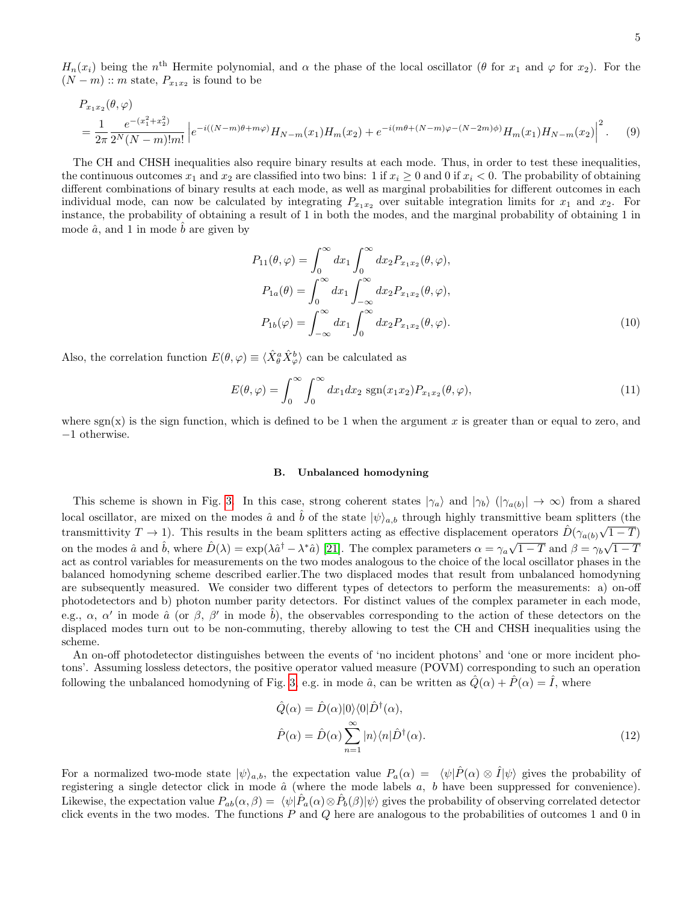$H_n(x_i)$  being the n<sup>th</sup> Hermite polynomial, and  $\alpha$  the phase of the local oscillator ( $\theta$  for  $x_1$  and  $\varphi$  for  $x_2$ ). For the  $(N-m)$  :: m state,  $P_{x_1x_2}$  is found to be

$$
P_{x_1x_2}(\theta,\varphi)
$$
  
=  $\frac{1}{2\pi} \frac{e^{-(x_1^2 + x_2^2)}}{2^N (N-m)! m!} \left| e^{-i((N-m)\theta + m\varphi)} H_{N-m}(x_1) H_m(x_2) + e^{-i(m\theta + (N-m)\varphi - (N-2m)\phi)} H_m(x_1) H_{N-m}(x_2) \right|^2$ . (9)

The CH and CHSH inequalities also require binary results at each mode. Thus, in order to test these inequalities, the continuous outcomes  $x_1$  and  $x_2$  are classified into two bins: 1 if  $x_i \ge 0$  and 0 if  $x_i < 0$ . The probability of obtaining different combinations of binary results at each mode, as well as marginal probabilities for different outcomes in each individual mode, can now be calculated by integrating  $P_{x_1x_2}$  over suitable integration limits for  $x_1$  and  $x_2$ . For instance, the probability of obtaining a result of 1 in both the modes, and the marginal probability of obtaining 1 in mode  $\hat{a}$ , and 1 in mode  $b$  are given by

<span id="page-5-0"></span>
$$
P_{11}(\theta,\varphi) = \int_0^\infty dx_1 \int_0^\infty dx_2 P_{x_1x_2}(\theta,\varphi),
$$
  
\n
$$
P_{1a}(\theta) = \int_0^\infty dx_1 \int_{-\infty}^\infty dx_2 P_{x_1x_2}(\theta,\varphi),
$$
  
\n
$$
P_{1b}(\varphi) = \int_{-\infty}^\infty dx_1 \int_0^\infty dx_2 P_{x_1x_2}(\theta,\varphi).
$$
\n(10)

Also, the correlation function  $E(\theta, \varphi) \equiv \langle \hat{X}_{\theta}^a \hat{X}_{\varphi}^b \rangle$  can be calculated as

<span id="page-5-1"></span>
$$
E(\theta, \varphi) = \int_0^\infty \int_0^\infty dx_1 dx_2 \, \text{sgn}(x_1 x_2) P_{x_1 x_2}(\theta, \varphi), \tag{11}
$$

where  $sgn(x)$  is the sign function, which is defined to be 1 when the argument x is greater than or equal to zero, and −1 otherwise.

#### B. Unbalanced homodyning

This scheme is shown in Fig. [3.](#page-6-0) In this case, strong coherent states  $|\gamma_a\rangle$  and  $|\gamma_b\rangle$   $(|\gamma_{a(b)}| \to \infty)$  from a shared local oscillator, are mixed on the modes  $\hat{a}$  and  $\hat{b}$  of the state  $|\psi\rangle_{a,b}$  through highly transmittive beam splitters (the transmittivity  $T \to 1$ ). This results in the beam splitters acting as effective displacement operators  $\hat{D}(\gamma_{a(b)}\sqrt{1-T})$ on the modes  $\hat{a}$  and  $\hat{b}$ , where  $\hat{D}(\lambda) = \exp(\lambda \hat{a}^{\dagger} - \lambda^* \hat{a})$  [\[21\]](#page-13-15). The complex parameters  $\alpha = \gamma_a \sqrt{1 - T}$  and  $\beta = \gamma_b \sqrt{1 - T}$ act as control variables for measurements on the two modes analogous to the choice of the local oscillator phases in the balanced homodyning scheme described earlier.The two displaced modes that result from unbalanced homodyning are subsequently measured. We consider two different types of detectors to perform the measurements: a) on-off photodetectors and b) photon number parity detectors. For distinct values of the complex parameter in each mode, e.g.,  $\alpha$ ,  $\alpha'$  in mode  $\hat{a}$  (or  $\beta$ ,  $\beta'$  in mode  $\hat{b}$ ), the observables corresponding to the action of these detectors on the displaced modes turn out to be non-commuting, thereby allowing to test the CH and CHSH inequalities using the scheme.

An on-off photodetector distinguishes between the events of 'no incident photons' and 'one or more incident photons'. Assuming lossless detectors, the positive operator valued measure (POVM) corresponding to such an operation following the unbalanced homodyning of Fig. [3,](#page-6-0) e.g. in mode  $\hat{a}$ , can be written as  $\hat{Q}(\alpha) + \hat{P}(\alpha) = \hat{I}$ , where

$$
\hat{Q}(\alpha) = \hat{D}(\alpha)|0\rangle\langle 0|\hat{D}^{\dagger}(\alpha),
$$
  

$$
\hat{P}(\alpha) = \hat{D}(\alpha)\sum_{n=1}^{\infty}|n\rangle\langle n|\hat{D}^{\dagger}(\alpha).
$$
 (12)

For a normalized two-mode state  $|\psi\rangle_{a,b}$ , the expectation value  $P_a(\alpha) = \langle \psi | \hat{P}(\alpha) \otimes \hat{I} | \psi \rangle$  gives the probability of registering a single detector click in mode  $\hat{a}$  (where the mode labels  $a, b$  have been suppressed for convenience). Likewise, the expectation value  $P_{ab}(\alpha, \beta) = \langle \psi | \hat{P}_a(\alpha) \otimes \hat{P}_b(\beta) | \psi \rangle$  gives the probability of observing correlated detector click events in the two modes. The functions  $P$  and  $Q$  here are analogous to the probabilities of outcomes 1 and 0 in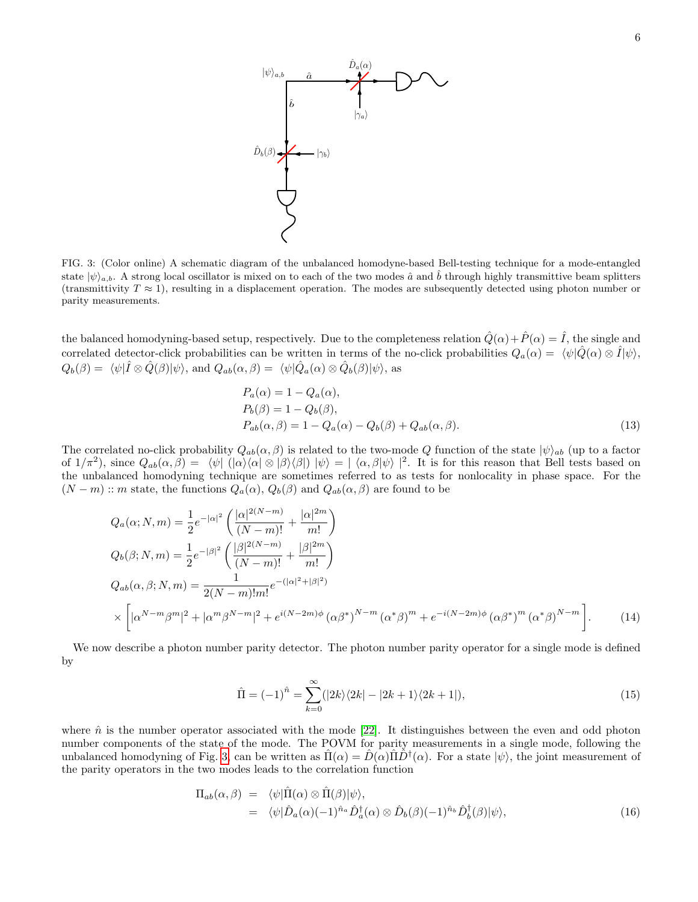

<span id="page-6-0"></span>FIG. 3: (Color online) A schematic diagram of the unbalanced homodyne-based Bell-testing technique for a mode-entangled state  $|\psi\rangle_{a,b}$ . A strong local oscillator is mixed on to each of the two modes  $\hat{a}$  and  $\hat{b}$  through highly transmittive beam splitters (transmittivity  $T \approx 1$ ), resulting in a displacement operation. The modes are subsequently detected using photon number or parity measurements.

the balanced homodyning-based setup, respectively. Due to the completeness relation  $\hat{Q}(\alpha) + \hat{P}(\alpha) = \hat{I}$ , the single and correlated detector-click probabilities can be written in terms of the no-click probabilities  $Q_a(\alpha) = \langle \psi | \hat{Q}(\alpha) \otimes \hat{I} | \psi \rangle$ ,  $Q_b(\beta) = \langle \psi | \hat{I} \otimes \hat{Q}(\beta) | \psi \rangle$ , and  $Q_{ab}(\alpha, \beta) = \langle \psi | \hat{Q}_a(\alpha) \otimes \hat{Q}_b(\beta) | \psi \rangle$ , as

<span id="page-6-1"></span>
$$
P_a(\alpha) = 1 - Q_a(\alpha),
$$
  
\n
$$
P_b(\beta) = 1 - Q_b(\beta),
$$
  
\n
$$
P_{ab}(\alpha, \beta) = 1 - Q_a(\alpha) - Q_b(\beta) + Q_{ab}(\alpha, \beta).
$$
\n(13)

The correlated no-click probability  $Q_{ab}(\alpha, \beta)$  is related to the two-mode Q function of the state  $|\psi\rangle_{ab}$  (up to a factor of  $1/\pi^2$ ), since  $Q_{ab}(\alpha,\beta) = \langle \psi | \left( |\alpha\rangle\langle \alpha| \otimes |\beta\rangle\langle \beta| \right) |\psi\rangle = |\langle \alpha,\beta | \psi \rangle|^2$ . It is for this reason that Bell tests based on the unbalanced homodyning technique are sometimes referred to as tests for nonlocality in phase space. For the  $(N - m)$ : m state, the functions  $Q_a(\alpha)$ ,  $Q_b(\beta)$  and  $Q_{ab}(\alpha, \beta)$  are found to be

$$
Q_a(\alpha; N, m) = \frac{1}{2} e^{-|\alpha|^2} \left( \frac{|\alpha|^{2(N-m)}}{(N-m)!} + \frac{|\alpha|^{2m}}{m!} \right)
$$
  
\n
$$
Q_b(\beta; N, m) = \frac{1}{2} e^{-|\beta|^2} \left( \frac{|\beta|^{2(N-m)}}{(N-m)!} + \frac{|\beta|^{2m}}{m!} \right)
$$
  
\n
$$
Q_{ab}(\alpha, \beta; N, m) = \frac{1}{2(N-m)!m!} e^{-(|\alpha|^2 + |\beta|^2)}
$$
  
\n
$$
\times \left[ |\alpha^{N-m} \beta^m|^2 + |\alpha^m \beta^{N-m}|^2 + e^{i(N-2m)\phi} (\alpha \beta^*)^{N-m} (\alpha^* \beta)^m + e^{-i(N-2m)\phi} (\alpha \beta^*)^m (\alpha^* \beta)^{N-m} \right].
$$
\n(14)

We now describe a photon number parity detector. The photon number parity operator for a single mode is defined by

$$
\hat{\Pi} = (-1)^{\hat{n}} = \sum_{k=0}^{\infty} (|2k\rangle\langle2k| - |2k+1\rangle\langle2k+1|),\tag{15}
$$

where  $\hat{n}$  is the number operator associated with the mode [\[22\]](#page-13-16). It distinguishes between the even and odd photon number components of the state of the mode. The POVM for parity measurements in a single mode, following the unbalanced homodyning of Fig. [3,](#page-6-0) can be written as  $\hat{\Pi}(\alpha) = \hat{D}(\alpha)\hat{\Pi}\hat{D}^{\dagger}(\alpha)$ . For a state  $|\psi\rangle$ , the joint measurement of the parity operators in the two modes leads to the correlation function

<span id="page-6-2"></span>
$$
\Pi_{ab}(\alpha,\beta) = \langle \psi | \hat{\Pi}(\alpha) \otimes \hat{\Pi}(\beta) | \psi \rangle, \n= \langle \psi | \hat{D}_a(\alpha) (-1)^{\hat{n}_a} \hat{D}_a^{\dagger}(\alpha) \otimes \hat{D}_b(\beta) (-1)^{\hat{n}_b} \hat{D}_b^{\dagger}(\beta) | \psi \rangle,
$$
\n(16)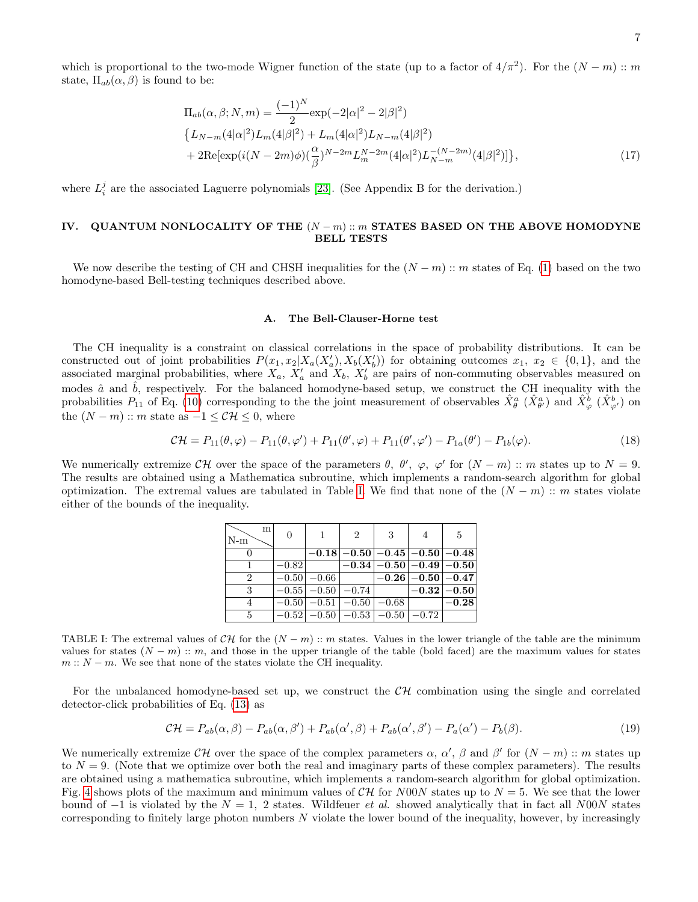which is proportional to the two-mode Wigner function of the state (up to a factor of  $4/\pi^2$ ). For the  $(N-m)$ : m state,  $\Pi_{ab}(\alpha, \beta)$  is found to be:

$$
\Pi_{ab}(\alpha,\beta;N,m) = \frac{(-1)^N}{2} \exp(-2|\alpha|^2 - 2|\beta|^2) \n\{L_{N-m}(4|\alpha|^2)L_m(4|\beta|^2) + L_m(4|\alpha|^2)L_{N-m}(4|\beta|^2) \n+ 2\text{Re}[\exp(i(N-2m)\phi)(\frac{\alpha}{\beta})^{N-2m}L_m^{N-2m}(4|\alpha|^2)L_{N-m}^{-(N-2m)}(4|\beta|^2)]\},
$$
\n(17)

where  $L_i^j$  are the associated Laguerre polynomials [\[23\]](#page-13-17). (See Appendix B for the derivation.)

# <span id="page-7-0"></span>IV. QUANTUM NONLOCALITY OF THE  $(N-m)$  :: m STATES BASED ON THE ABOVE HOMODYNE BELL TESTS

We now describe the testing of CH and CHSH inequalities for the  $(N-m)$ : m states of Eq. [\(1\)](#page-1-2) based on the two homodyne-based Bell-testing techniques described above.

#### <span id="page-7-2"></span>A. The Bell-Clauser-Horne test

The CH inequality is a constraint on classical correlations in the space of probability distributions. It can be constructed out of joint probabilities  $P(x_1, x_2 | X_a(X'_a), X_b(X'_b))$  for obtaining outcomes  $x_1, x_2 \in \{0, 1\}$ , and the associated marginal probabilities, where  $X_a$ ,  $X'_a$  and  $X_b$ ,  $X'_b$  are pairs of non-commuting observables measured on modes  $\hat{a}$  and  $\hat{b}$ , respectively. For the balanced homodyne-based setup, we construct the CH inequality with the probabilities  $P_{11}$  of Eq. [\(10\)](#page-5-0) corresponding to the the joint measurement of observables  $\hat{X}_{\theta}^{a}$   $(\hat{X}_{\theta'}^{a})$  and  $\hat{X}_{\varphi}^{b}$   $(\hat{X}_{\varphi'}^{b})$  on the  $(N - m)$ :: m state as  $-1 \leq \mathcal{CH} \leq 0$ , where

$$
\mathcal{CH} = P_{11}(\theta, \varphi) - P_{11}(\theta, \varphi') + P_{11}(\theta', \varphi) + P_{11}(\theta', \varphi') - P_{1a}(\theta') - P_{1b}(\varphi). \tag{18}
$$

We numerically extremize  $\mathcal{CH}$  over the space of the parameters  $\theta$ ,  $\theta'$ ,  $\varphi$ ,  $\varphi'$  for  $(N-m)$ : m states up to  $N=9$ . The results are obtained using a Mathematica subroutine, which implements a random-search algorithm for global optimization. The extremal values are tabulated in Table [I.](#page-7-1) We find that none of the  $(N - m)$  :: m states violate either of the bounds of the inequality.

| m<br>$\mathbb{N}\text{-m}$ | $\Omega$ |                          | $\overline{2}$          | -3                                                      |                         | $5^{\circ}$               |
|----------------------------|----------|--------------------------|-------------------------|---------------------------------------------------------|-------------------------|---------------------------|
|                            |          |                          |                         | $-0.18$ $-0.50$ $-0.45$ $-0.50$ $-0.48$                 |                         |                           |
|                            | $-0.82$  |                          |                         | $\left -0.34\right  - 0.50 \left  -0.49 \right  - 0.50$ |                         |                           |
| $\overline{2}$             |          | $\overline{-0.50}$ -0.66 |                         |                                                         | $-0.26$ $-0.50$ $-0.47$ |                           |
| 3                          |          |                          | $-0.55$ $-0.50$ $-0.74$ |                                                         |                         | $\left -0.32\right -0.50$ |
|                            |          |                          |                         | $-0.50$   $-0.51$   $-0.50$   $-0.68$                   |                         | $-0.28$                   |
| $\frac{5}{2}$              |          |                          |                         | $-0.52$ $-0.50$ $-0.53$ $-0.50$ $-0.72$                 |                         |                           |

<span id="page-7-1"></span>TABLE I: The extremal values of  $\mathcal{CH}$  for the  $(N-m)$  :: m states. Values in the lower triangle of the table are the minimum values for states  $(N - m)$ : m, and those in the upper triangle of the table (bold faced) are the maximum values for states  $m: N - m$ . We see that none of the states violate the CH inequality.

For the unbalanced homodyne-based set up, we construct the  $\mathcal{CH}$  combination using the single and correlated detector-click probabilities of Eq. [\(13\)](#page-6-1) as

$$
\mathcal{CH} = P_{ab}(\alpha, \beta) - P_{ab}(\alpha, \beta') + P_{ab}(\alpha', \beta) + P_{ab}(\alpha', \beta') - P_a(\alpha') - P_b(\beta). \tag{19}
$$

We numerically extremize  $\mathcal{CH}$  over the space of the complex parameters  $\alpha$ ,  $\alpha'$ ,  $\beta$  and  $\beta'$  for  $(N-m)$  :: m states up to  $N = 9$ . (Note that we optimize over both the real and imaginary parts of these complex parameters). The results are obtained using a mathematica subroutine, which implements a random-search algorithm for global optimization. Fig. [4](#page-8-0) shows plots of the maximum and minimum values of  $CH$  for N00N states up to  $N = 5$ . We see that the lower bound of  $-1$  is violated by the  $N = 1$ , 2 states. Wildfeuer *et al.* showed analytically that in fact all N00N states corresponding to finitely large photon numbers  $N$  violate the lower bound of the inequality, however, by increasingly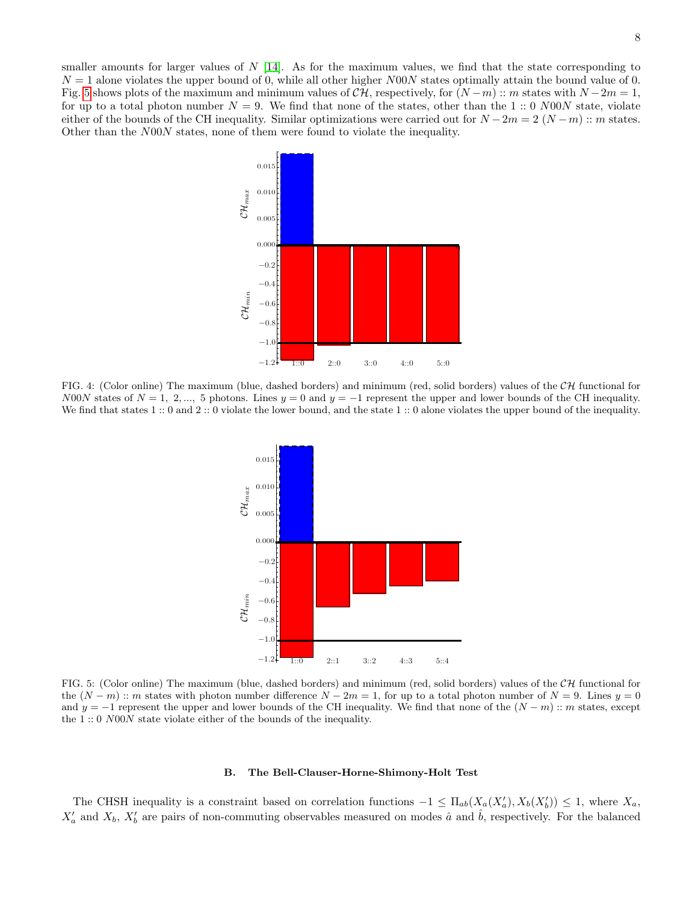smaller amounts for larger values of  $N$  [\[14\]](#page-13-8). As for the maximum values, we find that the state corresponding to  $N = 1$  alone violates the upper bound of 0, while all other higher N00N states optimally attain the bound value of 0. Fig. [5](#page-8-1) shows plots of the maximum and minimum values of  $\mathcal{CH}$ , respectively, for  $(N-m)$  :: m states with  $N-2m=1$ , for up to a total photon number  $N = 9$ . We find that none of the states, other than the 1 :: 0 N00N state, violate either of the bounds of the CH inequality. Similar optimizations were carried out for  $N - 2m = 2 (N - m)$  :: m states. Other than the N00N states, none of them were found to violate the inequality.



<span id="page-8-0"></span>FIG. 4: (Color online) The maximum (blue, dashed borders) and minimum (red, solid borders) values of the  $CH$  functional for N00N states of  $N = 1, 2, ..., 5$  photons. Lines  $y = 0$  and  $y = -1$  represent the upper and lower bounds of the CH inequality. We find that states 1 :: 0 and 2 :: 0 violate the lower bound, and the state 1 :: 0 alone violates the upper bound of the inequality.



<span id="page-8-1"></span>FIG. 5: (Color online) The maximum (blue, dashed borders) and minimum (red, solid borders) values of the  $CH$  functional for the  $(N-m)$ :: m states with photon number difference  $N-2m=1$ , for up to a total photon number of  $N=9$ . Lines  $y=0$ and  $y = -1$  represent the upper and lower bounds of the CH inequality. We find that none of the  $(N - m)$ : m states, except the 1 :: 0 N00N state violate either of the bounds of the inequality.

#### B. The Bell-Clauser-Horne-Shimony-Holt Test

The CHSH inequality is a constraint based on correlation functions  $-1 \leq \Pi_{ab}(X_a(X'_a), X_b(X'_b)) \leq 1$ , where  $X_a$ ,  $X'_a$  and  $X_b$ ,  $X'_b$  are pairs of non-commuting observables measured on modes  $\hat{a}$  and  $\hat{b}$ , respectively. For the balanced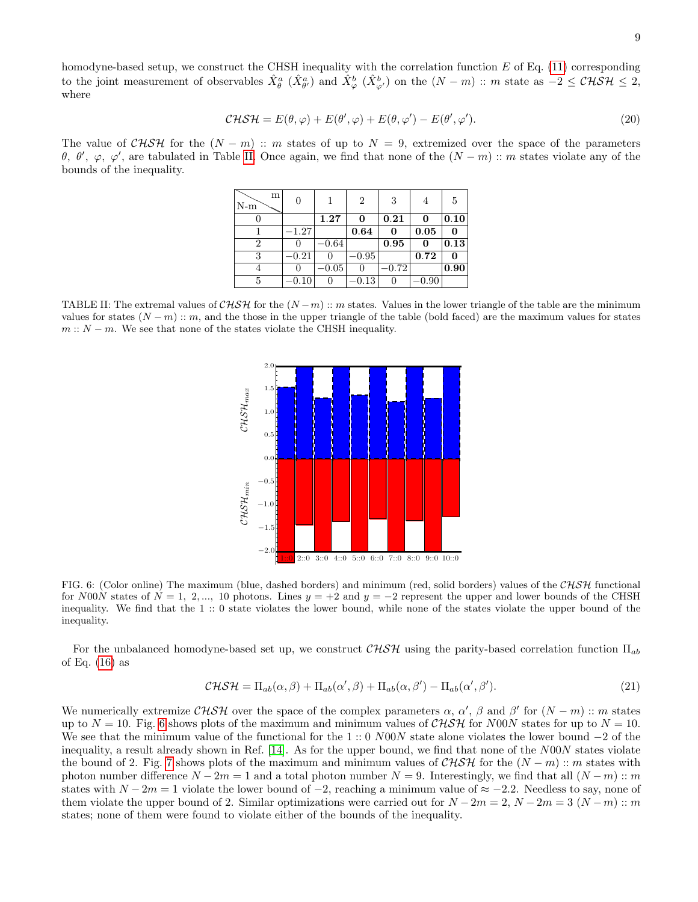homodyne-based setup, we construct the CHSH inequality with the correlation function  $E$  of Eq. [\(11\)](#page-5-1) corresponding to the joint measurement of observables  $\hat{X}_{\theta}^{a}$   $(\hat{X}_{\theta'}^{a})$  and  $\hat{X}_{\varphi}^{b}$   $(\hat{X}_{\varphi'}^{b})$  on the  $(N-m)$ : m state as  $-2 \leq \mathcal{CHSH} \leq 2$ , where

$$
\mathcal{CHSH} = E(\theta, \varphi) + E(\theta', \varphi) + E(\theta, \varphi') - E(\theta', \varphi'). \tag{20}
$$

The value of  $CHSH$  for the  $(N - m)$  :: m states of up to  $N = 9$ , extremized over the space of the parameters θ, θ',  $\varphi$ ,  $\varphi'$ , are tabulated in Table [II.](#page-9-0) Once again, we find that none of the  $(N-m)$ : m states violate any of the bounds of the inequality.

| m<br>$N-m$     | 0        |              | $\overline{2}$ | 3       | 4          | 5    |
|----------------|----------|--------------|----------------|---------|------------|------|
|                |          | 1.27         | 0              | 0.21    | 0          | 0.10 |
|                | $-1.27$  |              | 0.64           | 0       | 0.05       | 0    |
| $\overline{2}$ | $\theta$ | $-0.64$      |                | 0.95    | 0          | 0.13 |
| 3              | $-0.21$  | $\mathbf{0}$ | $-0.95$        |         | 0.72       | 0    |
|                | $\theta$ | $-0.05$      |                | $-0.72$ |            | 0.90 |
| 5              | $-0.10$  | 0            | 0.13           | 0       | $^{-0.90}$ |      |

<span id="page-9-0"></span>TABLE II: The extremal values of CHSH for the  $(N-m)$  :: m states. Values in the lower triangle of the table are the minimum values for states  $(N-m)$ : m, and the those in the upper triangle of the table (bold faced) are the maximum values for states  $m: N - m$ . We see that none of the states violate the CHSH inequality.



<span id="page-9-1"></span>FIG. 6: (Color online) The maximum (blue, dashed borders) and minimum (red, solid borders) values of the  $CHSH$  functional for N00N states of  $N = 1, 2, ..., 10$  photons. Lines  $y = +2$  and  $y = -2$  represent the upper and lower bounds of the CHSH inequality. We find that the 1 :: 0 state violates the lower bound, while none of the states violate the upper bound of the inequality.

For the unbalanced homodyne-based set up, we construct  $CHSH$  using the parity-based correlation function  $\Pi_{ab}$ of Eq.  $(16)$  as

$$
\mathcal{CHSH} = \Pi_{ab}(\alpha, \beta) + \Pi_{ab}(\alpha', \beta) + \Pi_{ab}(\alpha, \beta') - \Pi_{ab}(\alpha', \beta'). \tag{21}
$$

We numerically extremize  $\mathcal{CHSH}$  over the space of the complex parameters  $\alpha$ ,  $\alpha'$ ,  $\beta$  and  $\beta'$  for  $(N-m)$  :: m states up to  $N = 10$ . Fig. [6](#page-9-1) shows plots of the maximum and minimum values of CHSH for N00N states for up to  $N = 10$ . We see that the minimum value of the functional for the 1 :: 0 N00N state alone violates the lower bound  $-2$  of the inequality, a result already shown in Ref. [\[14\]](#page-13-8). As for the upper bound, we find that none of the N00N states violate the bound of 2. Fig. [7](#page-10-1) shows plots of the maximum and minimum values of  $CHSH$  for the  $(N-m)$  :: m states with photon number difference  $N - 2m = 1$  and a total photon number  $N = 9$ . Interestingly, we find that all  $(N - m)$  :: m states with  $N - 2m = 1$  violate the lower bound of  $-2$ , reaching a minimum value of  $\approx -2.2$ . Needless to say, none of them violate the upper bound of 2. Similar optimizations were carried out for  $N - 2m = 2$ ,  $N - 2m = 3$   $(N - m)$ : m states; none of them were found to violate either of the bounds of the inequality.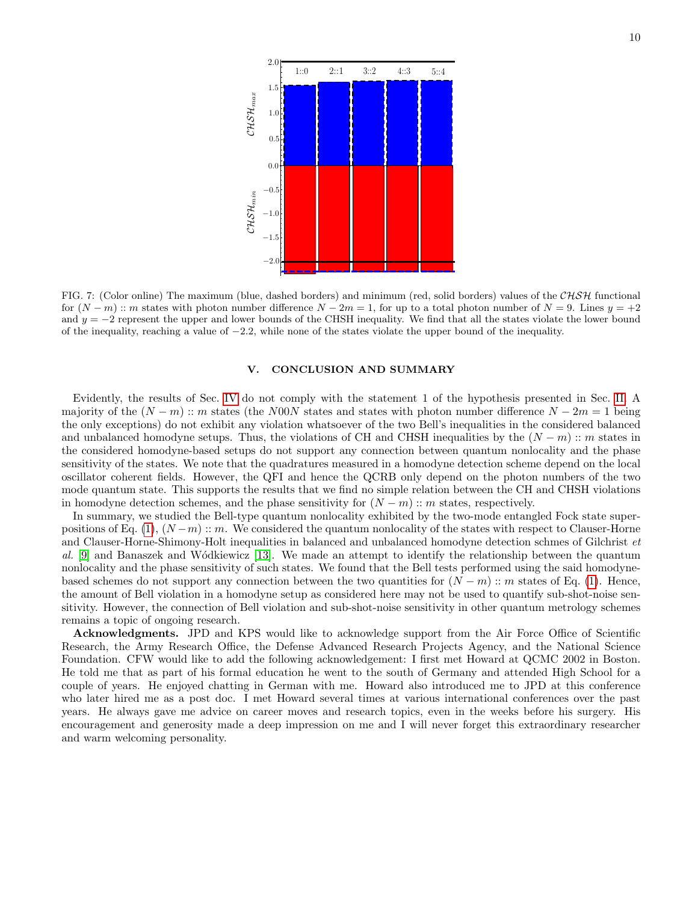

<span id="page-10-1"></span>FIG. 7: (Color online) The maximum (blue, dashed borders) and minimum (red, solid borders) values of the  $CHSH$  functional for  $(N-m)$ :: m states with photon number difference  $N-2m=1$ , for up to a total photon number of  $N=9$ . Lines  $y=+2$ and  $y = -2$  represent the upper and lower bounds of the CHSH inequality. We find that all the states violate the lower bound of the inequality, reaching a value of −2.2, while none of the states violate the upper bound of the inequality.

# <span id="page-10-0"></span>V. CONCLUSION AND SUMMARY

Evidently, the results of Sec. [IV](#page-7-0) do not comply with the statement 1 of the hypothesis presented in Sec. [II.](#page-3-1) A majority of the  $(N-m)$  :: m states (the N00N states and states with photon number difference  $N-2m=1$  being the only exceptions) do not exhibit any violation whatsoever of the two Bell's inequalities in the considered balanced and unbalanced homodyne setups. Thus, the violations of CH and CHSH inequalities by the  $(N - m)$  :: m states in the considered homodyne-based setups do not support any connection between quantum nonlocality and the phase sensitivity of the states. We note that the quadratures measured in a homodyne detection scheme depend on the local oscillator coherent fields. However, the QFI and hence the QCRB only depend on the photon numbers of the two mode quantum state. This supports the results that we find no simple relation between the CH and CHSH violations in homodyne detection schemes, and the phase sensitivity for  $(N - m)$  :: m states, respectively.

In summary, we studied the Bell-type quantum nonlocality exhibited by the two-mode entangled Fock state super-positions of Eq. [\(1\)](#page-1-2),  $(N-m)$  :: m. We considered the quantum nonlocality of the states with respect to Clauser-Horne and Clauser-Horne-Shimony-Holt inequalities in balanced and unbalanced homodyne detection schmes of Gilchrist et al. [\[9\]](#page-13-3) and Banaszek and Wódkiewicz [\[13\]](#page-13-7). We made an attempt to identify the relationship between the quantum nonlocality and the phase sensitivity of such states. We found that the Bell tests performed using the said homodynebased schemes do not support any connection between the two quantities for  $(N - m)$  :: m states of Eq. [\(1\)](#page-1-2). Hence, the amount of Bell violation in a homodyne setup as considered here may not be used to quantify sub-shot-noise sensitivity. However, the connection of Bell violation and sub-shot-noise sensitivity in other quantum metrology schemes remains a topic of ongoing research.

Acknowledgments. JPD and KPS would like to acknowledge support from the Air Force Office of Scientific Research, the Army Research Office, the Defense Advanced Research Projects Agency, and the National Science Foundation. CFW would like to add the following acknowledgement: I first met Howard at QCMC 2002 in Boston. He told me that as part of his formal education he went to the south of Germany and attended High School for a couple of years. He enjoyed chatting in German with me. Howard also introduced me to JPD at this conference who later hired me as a post doc. I met Howard several times at various international conferences over the past years. He always gave me advice on career moves and research topics, even in the weeks before his surgery. His encouragement and generosity made a deep impression on me and I will never forget this extraordinary researcher and warm welcoming personality.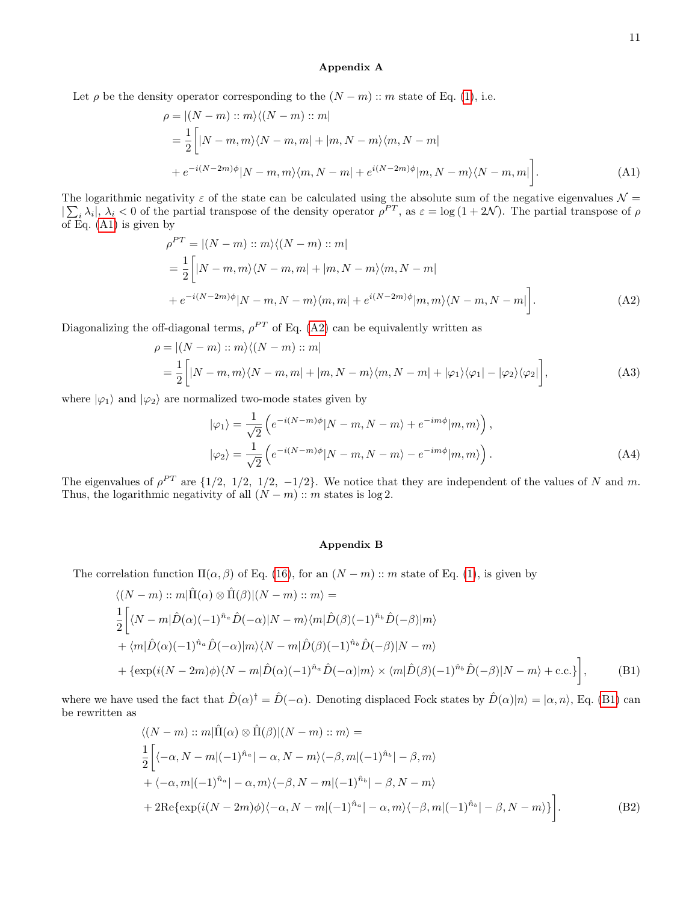#### <span id="page-11-1"></span><span id="page-11-0"></span>Appendix A

$$
\rho = |(N-m) :: m\rangle \langle (N-m) :: m|
$$
  
=  $\frac{1}{2} \Big[ |N-m,m\rangle \langle N-m,m| + |m,N-m\rangle \langle m,N-m|$   
+  $e^{-i(N-2m)\phi} |N-m,m\rangle \langle m,N-m| + e^{i(N-2m)\phi} |m,N-m\rangle \langle N-m,m| \Big].$  (A1)

The logarithmic negativity  $\varepsilon$  of the state can be calculated using the absolute sum of the negative eigenvalues  $\mathcal{N} =$  $|\sum_i \lambda_i|, \lambda_i < 0$  of the partial transpose of the density operator  $\rho^{PT}$ , as  $\varepsilon = \log(1+2\mathcal{N})$ . The partial transpose of  $\rho$ of Eq. [\(A1\)](#page-11-0) is given by

$$
\rho^{PT} = |(N-m)::m\rangle\langle(N-m)::m|
$$
  
=  $\frac{1}{2}\Big[|N-m,m\rangle\langle N-m,m|+|m,N-m\rangle\langle m,N-m|$   
+  $e^{-i(N-2m)\phi}|N-m,N-m\rangle\langle m,m|+e^{i(N-2m)\phi}|m,m\rangle\langle N-m,N-m| \Big].$  (A2)

Diagonalizing the off-diagonal terms,  $\rho^{PT}$  of Eq. [\(A2\)](#page-11-1) can be equivalently written as

$$
\rho = |(N-m) :: m\rangle \langle (N-m) :: m|
$$
  
=  $\frac{1}{2} \Big[ |N-m,m\rangle \langle N-m,m| + |m,N-m\rangle \langle m,N-m| + |\varphi_1\rangle \langle \varphi_1| - |\varphi_2\rangle \langle \varphi_2| \Big],$  (A3)

where  $|\varphi_1\rangle$  and  $|\varphi_2\rangle$  are normalized two-mode states given by

$$
|\varphi_1\rangle = \frac{1}{\sqrt{2}} \left( e^{-i(N-m)\phi} |N-m, N-m\rangle + e^{-im\phi} |m, m\rangle \right),
$$
  

$$
|\varphi_2\rangle = \frac{1}{\sqrt{2}} \left( e^{-i(N-m)\phi} |N-m, N-m\rangle - e^{-im\phi} |m, m\rangle \right).
$$
 (A4)

The eigenvalues of  $\rho^{PT}$  are  $\{1/2, 1/2, 1/2, -1/2\}$ . We notice that they are independent of the values of N and m. Thus, the logarithmic negativity of all  $(N - m)$ : m states is log 2.

## <span id="page-11-3"></span><span id="page-11-2"></span>Appendix B

The correlation function  $\Pi(\alpha, \beta)$  of Eq. [\(16\)](#page-6-2), for an  $(N - m)$  :: m state of Eq. [\(1\)](#page-1-2), is given by

$$
\langle (N-m) :: m | \hat{\Pi}(\alpha) \otimes \hat{\Pi}(\beta) | (N-m) :: m \rangle =
$$
  
\n
$$
\frac{1}{2} \Biggl[ \langle N-m | \hat{D}(\alpha)(-1)^{\hat{n}_a} \hat{D}(-\alpha) | N-m \rangle \langle m | \hat{D}(\beta)(-1)^{\hat{n}_b} \hat{D}(-\beta) | m \rangle
$$
  
\n
$$
+ \langle m | \hat{D}(\alpha)(-1)^{\hat{n}_a} \hat{D}(-\alpha) | m \rangle \langle N-m | \hat{D}(\beta)(-1)^{\hat{n}_b} \hat{D}(-\beta) | N-m \rangle
$$
  
\n
$$
+ \{ \exp(i(N-2m)\phi) \langle N-m | \hat{D}(\alpha)(-1)^{\hat{n}_a} \hat{D}(-\alpha) | m \rangle \times \langle m | \hat{D}(\beta)(-1)^{\hat{n}_b} \hat{D}(-\beta) | N-m \rangle + \text{c.c.} \} \Biggr],
$$
 (B1)

where we have used the fact that  $\hat{D}(\alpha)^{\dagger} = \hat{D}(-\alpha)$ . Denoting displaced Fock states by  $\hat{D}(\alpha)|n\rangle = |\alpha, n\rangle$ , Eq. [\(B1\)](#page-11-2) can be rewritten as

$$
\langle (N-m) :: m | \hat{\Pi}(\alpha) \otimes \hat{\Pi}(\beta) | (N-m) :: m \rangle =
$$
  
\n
$$
\frac{1}{2} \Biggl[ \langle -\alpha, N-m | (-1)^{\hat{n}_a} | -\alpha, N-m \rangle \langle -\beta, m | (-1)^{\hat{n}_b} | -\beta, m \rangle
$$
  
\n
$$
+ \langle -\alpha, m | (-1)^{\hat{n}_a} | -\alpha, m \rangle \langle -\beta, N-m | (-1)^{\hat{n}_b} | -\beta, N-m \rangle
$$
  
\n
$$
+ 2 \text{Re} \{ \exp(i(N-2m)\phi) \langle -\alpha, N-m | (-1)^{\hat{n}_a} | -\alpha, m \rangle \langle -\beta, m | (-1)^{\hat{n}_b} | -\beta, N-m \rangle \} \Biggr].
$$
 (B2)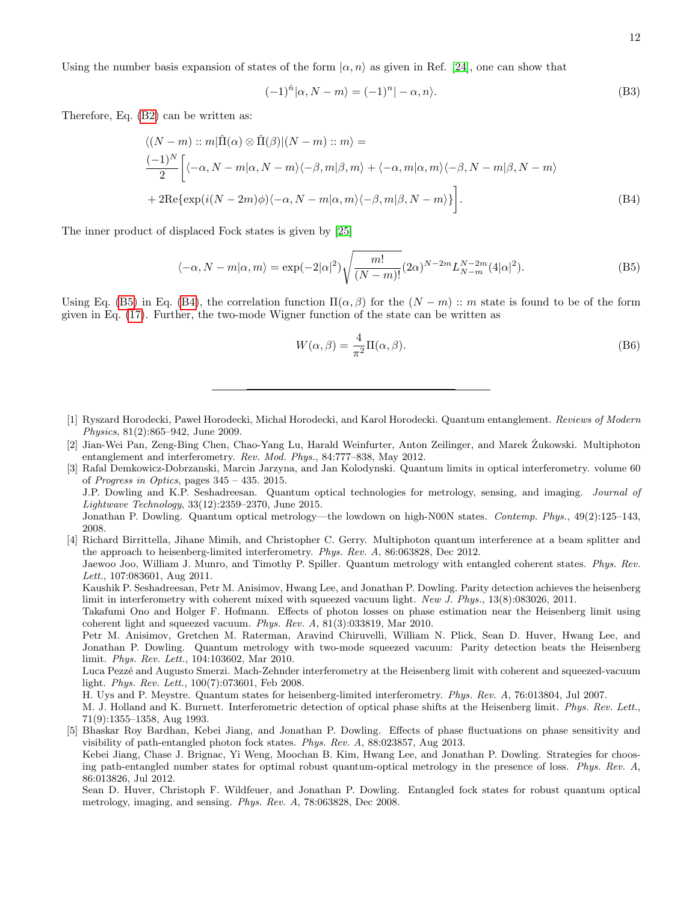Using the number basis expansion of states of the form  $\alpha$ , n<sub>i</sub> as given in Ref. [\[24\]](#page-13-18), one can show that

$$
(-1)^{\hat{n}}|\alpha, N-m\rangle = (-1)^{n}|\alpha, n\rangle.
$$
 (B3)

Therefore, Eq. [\(B2\)](#page-11-3) can be written as:

$$
\langle (N-m) :: m | \hat{\Pi}(\alpha) \otimes \hat{\Pi}(\beta) | (N-m) :: m \rangle =
$$
  
\n
$$
\frac{(-1)^N}{2} \Biggl[ \langle -\alpha, N-m | \alpha, N-m \rangle \langle -\beta, m | \beta, m \rangle + \langle -\alpha, m | \alpha, m \rangle \langle -\beta, N-m | \beta, N-m \rangle
$$
  
\n
$$
+ 2 \text{Re} \{ \exp(i(N-2m)\phi) \langle -\alpha, N-m | \alpha, m \rangle \langle -\beta, m | \beta, N-m \rangle \} \Biggr].
$$
\n(B4)

The inner product of displaced Fock states is given by [\[25\]](#page-13-19)

$$
\langle -\alpha, N-m|\alpha, m\rangle = \exp(-2|\alpha|^2) \sqrt{\frac{m!}{(N-m)!}} (2\alpha)^{N-2m} L_{N-m}^{N-2m}(4|\alpha|^2). \tag{B5}
$$

Using Eq. [\(B5\)](#page-12-8) in Eq. [\(B4\)](#page-12-9), the correlation function  $\Pi(\alpha, \beta)$  for the  $(N - m)$  :: m state is found to be of the form given in Eq. [\(17\)](#page-7-2). Further, the two-mode Wigner function of the state can be written as

<span id="page-12-9"></span><span id="page-12-8"></span>
$$
W(\alpha, \beta) = \frac{4}{\pi^2} \Pi(\alpha, \beta).
$$
 (B6)

- <span id="page-12-0"></span>[1] Ryszard Horodecki, Paweł Horodecki, Michał Horodecki, and Karol Horodecki. Quantum entanglement. Reviews of Modern Physics, 81(2):865–942, June 2009.
- <span id="page-12-1"></span>[2] Jian-Wei Pan, Zeng-Bing Chen, Chao-Yang Lu, Harald Weinfurter, Anton Zeilinger, and Marek Zukowski. Multiphoton ˙ entanglement and interferometry. Rev. Mod. Phys., 84:777–838, May 2012.
- <span id="page-12-2"></span>[3] Rafal Demkowicz-Dobrzanski, Marcin Jarzyna, and Jan Kolodynski. Quantum limits in optical interferometry. volume 60 of Progress in Optics, pages 345 – 435. 2015. J.P. Dowling and K.P. Seshadreesan. Quantum optical technologies for metrology, sensing, and imaging. Journal of Lightwave Technology, 33(12):2359–2370, June 2015. Jonathan P. Dowling. Quantum optical metrology—the lowdown on high-N00N states. Contemp. Phys., 49(2):125–143, 2008.
- <span id="page-12-4"></span><span id="page-12-3"></span>[4] Richard Birrittella, Jihane Mimih, and Christopher C. Gerry. Multiphoton quantum interference at a beam splitter and the approach to heisenberg-limited interferometry. Phys. Rev. A, 86:063828, Dec 2012.

Jaewoo Joo, William J. Munro, and Timothy P. Spiller. Quantum metrology with entangled coherent states. Phys. Rev. Lett., 107:083601, Aug 2011.

Kaushik P. Seshadreesan, Petr M. Anisimov, Hwang Lee, and Jonathan P. Dowling. Parity detection achieves the heisenberg limit in interferometry with coherent mixed with squeezed vacuum light. New J. Phys., 13(8):083026, 2011.

Takafumi Ono and Holger F. Hofmann. Effects of photon losses on phase estimation near the Heisenberg limit using coherent light and squeezed vacuum. Phys. Rev. A, 81(3):033819, Mar 2010.

Petr M. Anisimov, Gretchen M. Raterman, Aravind Chiruvelli, William N. Plick, Sean D. Huver, Hwang Lee, and Jonathan P. Dowling. Quantum metrology with two-mode squeezed vacuum: Parity detection beats the Heisenberg limit. Phys. Rev. Lett., 104:103602, Mar 2010.

Luca Pezzé and Augusto Smerzi. Mach-Zehnder interferometry at the Heisenberg limit with coherent and squeezed-vacuum light. Phys. Rev. Lett., 100(7):073601, Feb 2008.

H. Uys and P. Meystre. Quantum states for heisenberg-limited interferometry. Phys. Rev. A, 76:013804, Jul 2007.

M. J. Holland and K. Burnett. Interferometric detection of optical phase shifts at the Heisenberg limit. Phys. Rev. Lett., 71(9):1355–1358, Aug 1993.

- <span id="page-12-7"></span><span id="page-12-5"></span>[5] Bhaskar Roy Bardhan, Kebei Jiang, and Jonathan P. Dowling. Effects of phase fluctuations on phase sensitivity and visibility of path-entangled photon fock states. Phys. Rev. A, 88:023857, Aug 2013. Kebei Jiang, Chase J. Brignac, Yi Weng, Moochan B. Kim, Hwang Lee, and Jonathan P. Dowling. Strategies for choos
	- ing path-entangled number states for optimal robust quantum-optical metrology in the presence of loss. Phys. Rev. A, 86:013826, Jul 2012.

<span id="page-12-6"></span>Sean D. Huver, Christoph F. Wildfeuer, and Jonathan P. Dowling. Entangled fock states for robust quantum optical metrology, imaging, and sensing. Phys. Rev. A, 78:063828, Dec 2008.